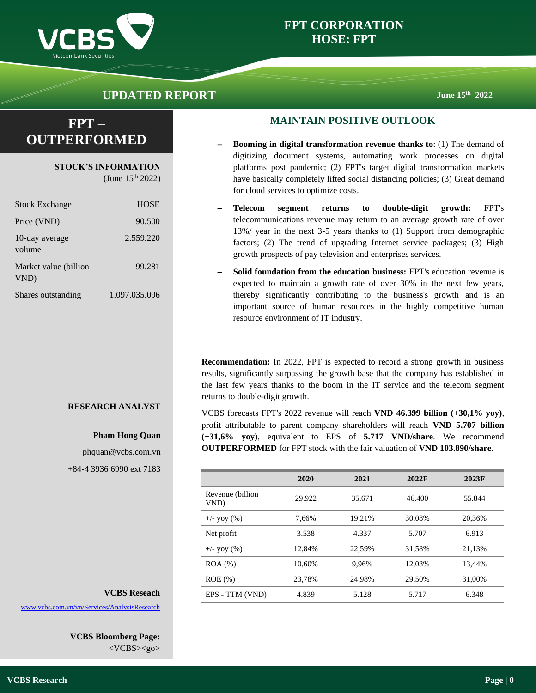

## **FPT CORPORATION HOSE: FPT**

# **UPDATED REPORT June** 15<sup>th</sup> 2022

# **FPT – OUTPERFORMED**

**STOCK'S INFORMATION**

(June  $15^{th}$  2022)

| <b>Stock Exchange</b>         | <b>HOSE</b>   |
|-------------------------------|---------------|
| Price (VND)                   | 90.500        |
| 10-day average<br>volume      | 2.559.220     |
| Market value (billion<br>VND) | 99.281        |
| Shares outstanding            | 1.097.035.096 |

### **RESEARCH ANALYST**

### **Pham Hong Quan**

phquan@vcbs.com.vn +84-4 3936 6990 ext 7183

### **MAINTAIN POSITIVE OUTLOOK**

- **Booming in digital transformation revenue thanks to: (1) The demand of** digitizing document systems, automating work processes on digital platforms post pandemic; (2) FPT's target digital transformation markets have basically completely lifted social distancing policies; (3) Great demand for cloud services to optimize costs.
- − **Telecom segment returns to double-digit growth:** FPT's telecommunications revenue may return to an average growth rate of over 13%/ year in the next 3-5 years thanks to (1) Support from demographic factors; (2) The trend of upgrading Internet service packages; (3) High growth prospects of pay television and enterprises services.
- **Solid foundation from the education business: FPT's education revenue is** expected to maintain a growth rate of over 30% in the next few years, thereby significantly contributing to the business's growth and is an important source of human resources in the highly competitive human resource environment of IT industry.

**Recommendation:** In 2022, FPT is expected to record a strong growth in business results, significantly surpassing the growth base that the company has established in the last few years thanks to the boom in the IT service and the telecom segment returns to double-digit growth.

VCBS forecasts FPT's 2022 revenue will reach **VND 46.399 billion (+30,1% yoy)**, profit attributable to parent company shareholders will reach **VND 5.707 billion (+31,6% yoy)**, equivalent to EPS of **5.717 VND/share**. We recommend **OUTPERFORMED** for FPT stock with the fair valuation of **VND 103.890/share**.

|                          | 2020   | 2021   | 2022F  | 2023F  |
|--------------------------|--------|--------|--------|--------|
| Revenue (billion<br>VND) | 29.922 | 35.671 | 46.400 | 55.844 |
| $+/-$ yoy $(\% )$        | 7.66%  | 19.21% | 30.08% | 20,36% |
| Net profit               | 3.538  | 4.337  | 5.707  | 6.913  |
| $+/-$ yoy $(\% )$        | 12.84% | 22.59% | 31,58% | 21,13% |
| $ROA (\%)$               | 10.60% | 9.96%  | 12.03% | 13.44% |
| $ROE$ $(\%)$             | 23.78% | 24.98% | 29.50% | 31,00% |
| EPS - TTM (VND)          | 4.839  | 5.128  | 5.717  | 6.348  |

### **VCBS Reseach**

[www.vcbs.com.vn/vn/Services/AnalysisResearch](http://www.vcbs.com.vn/vn/Services/AnalysisResearch)

**VCBS Bloomberg Page:** <VCBS><go>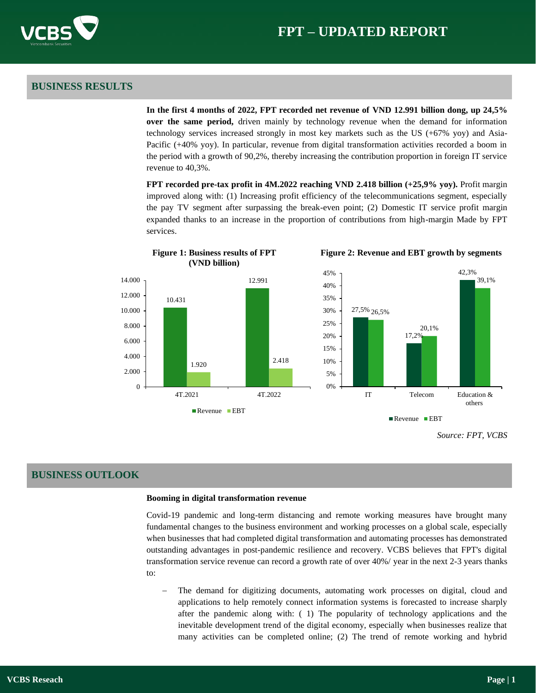### **BUSINESS RESULTS**

**In the first 4 months of 2022, FPT recorded net revenue of VND 12.991 billion dong, up 24,5% over the same period,** driven mainly by technology revenue when the demand for information technology services increased strongly in most key markets such as the US (+67% yoy) and Asia-Pacific (+40% yoy). In particular, revenue from digital transformation activities recorded a boom in the period with a growth of 90,2%, thereby increasing the contribution proportion in foreign IT service revenue to 40,3%.

**FPT recorded pre-tax profit in 4M.2022 reaching VND 2.418 billion (+25,9% yoy).** Profit margin improved along with: (1) Increasing profit efficiency of the telecommunications segment, especially the pay TV segment after surpassing the break-even point; (2) Domestic IT service profit margin expanded thanks to an increase in the proportion of contributions from high-margin Made by FPT services.



#### **Figure 2: Revenue and EBT growth by segments**

### **BUSINESS OUTLOOK**

#### **Booming in digital transformation revenue**

Covid-19 pandemic and long-term distancing and remote working measures have brought many fundamental changes to the business environment and working processes on a global scale, especially when businesses that had completed digital transformation and automating processes has demonstrated outstanding advantages in post-pandemic resilience and recovery. VCBS believes that FPT's digital transformation service revenue can record a growth rate of over 40%/ year in the next 2-3 years thanks to:

The demand for digitizing documents, automating work processes on digital, cloud and applications to help remotely connect information systems is forecasted to increase sharply after the pandemic along with: ( 1) The popularity of technology applications and the inevitable development trend of the digital economy, especially when businesses realize that many activities can be completed online; (2) The trend of remote working and hybrid

*Source: FPT, VCBS*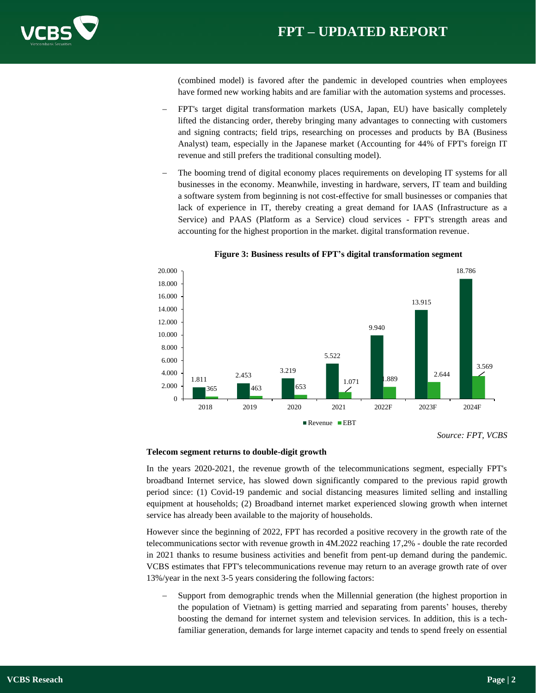

(combined model) is favored after the pandemic in developed countries when employees have formed new working habits and are familiar with the automation systems and processes.

- − FPT's target digital transformation markets (USA, Japan, EU) have basically completely lifted the distancing order, thereby bringing many advantages to connecting with customers and signing contracts; field trips, researching on processes and products by BA (Business Analyst) team, especially in the Japanese market (Accounting for 44% of FPT's foreign IT revenue and still prefers the traditional consulting model).
- The booming trend of digital economy places requirements on developing IT systems for all businesses in the economy. Meanwhile, investing in hardware, servers, IT team and building a software system from beginning is not cost-effective for small businesses or companies that lack of experience in IT, thereby creating a great demand for IAAS (Infrastructure as a Service) and PAAS (Platform as a Service) cloud services - FPT's strength areas and accounting for the highest proportion in the market. digital transformation revenue.



**Figure 3: Business results of FPT's digital transformation segment**

In the years 2020-2021, the revenue growth of the telecommunications segment, especially FPT's broadband Internet service, has slowed down significantly compared to the previous rapid growth period since: (1) Covid-19 pandemic and social distancing measures limited selling and installing equipment at households; (2) Broadband internet market experienced slowing growth when internet service has already been available to the majority of households.

However since the beginning of 2022, FPT has recorded a positive recovery in the growth rate of the telecommunications sector with revenue growth in 4M.2022 reaching 17,2% - double the rate recorded in 2021 thanks to resume business activities and benefit from pent-up demand during the pandemic. VCBS estimates that FPT's telecommunications revenue may return to an average growth rate of over 13%/year in the next 3-5 years considering the following factors:

Support from demographic trends when the Millennial generation (the highest proportion in the population of Vietnam) is getting married and separating from parents' houses, thereby boosting the demand for internet system and television services. In addition, this is a techfamiliar generation, demands for large internet capacity and tends to spend freely on essential

**Telecom segment returns to double-digit growth**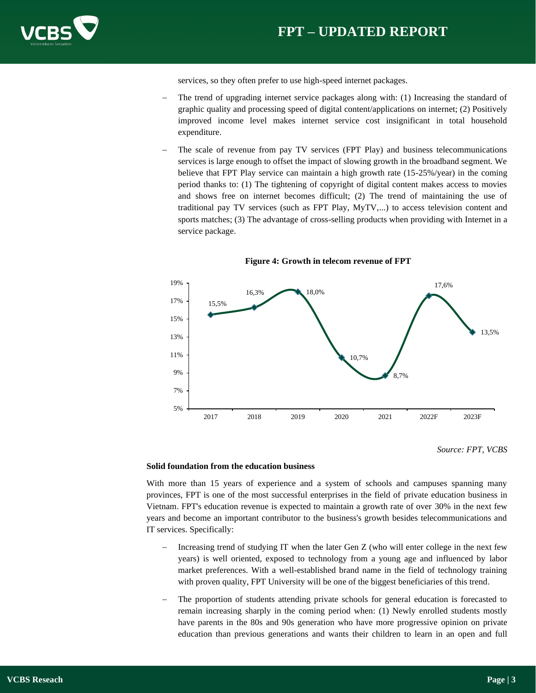

services, so they often prefer to use high-speed internet packages.

- The trend of upgrading internet service packages along with: (1) Increasing the standard of graphic quality and processing speed of digital content/applications on internet; (2) Positively improved income level makes internet service cost insignificant in total household expenditure.
- The scale of revenue from pay TV services (FPT Play) and business telecommunications services is large enough to offset the impact of slowing growth in the broadband segment. We believe that FPT Play service can maintain a high growth rate (15-25%/year) in the coming period thanks to: (1) The tightening of copyright of digital content makes access to movies and shows free on internet becomes difficult; (2) The trend of maintaining the use of traditional pay TV services (such as FPT Play, MyTV,...) to access television content and sports matches; (3) The advantage of cross-selling products when providing with Internet in a service package.



#### **Figure 4: Growth in telecom revenue of FPT**

#### **Solid foundation from the education business**

With more than 15 years of experience and a system of schools and campuses spanning many provinces, FPT is one of the most successful enterprises in the field of private education business in Vietnam. FPT's education revenue is expected to maintain a growth rate of over 30% in the next few years and become an important contributor to the business's growth besides telecommunications and IT services. Specifically:

- Increasing trend of studying IT when the later Gen  $Z$  (who will enter college in the next few years) is well oriented, exposed to technology from a young age and influenced by labor market preferences. With a well-established brand name in the field of technology training with proven quality, FPT University will be one of the biggest beneficiaries of this trend.
- The proportion of students attending private schools for general education is forecasted to remain increasing sharply in the coming period when: (1) Newly enrolled students mostly have parents in the 80s and 90s generation who have more progressive opinion on private education than previous generations and wants their children to learn in an open and full

*Source: FPT, VCBS*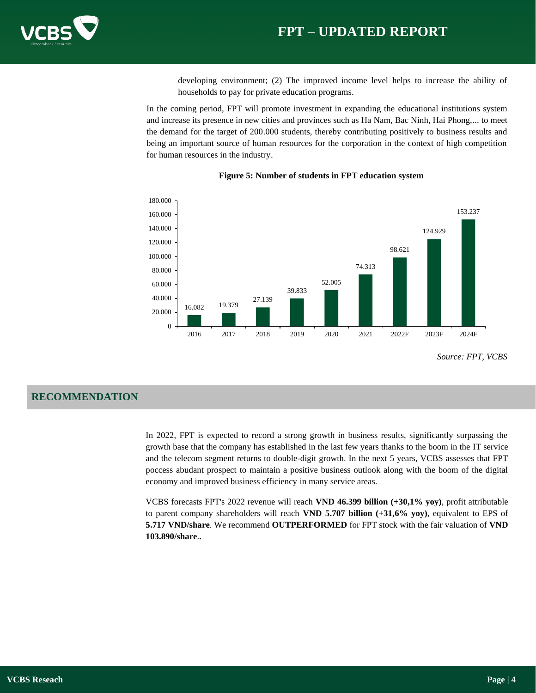

developing environment; (2) The improved income level helps to increase the ability of households to pay for private education programs.

In the coming period, FPT will promote investment in expanding the educational institutions system and increase its presence in new cities and provinces such as Ha Nam, Bac Ninh, Hai Phong,... to meet the demand for the target of 200.000 students, thereby contributing positively to business results and being an important source of human resources for the corporation in the context of high competition for human resources in the industry.



#### **Figure 5: Number of students in FPT education system**

### **RECOMMENDATION**

In 2022, FPT is expected to record a strong growth in business results, significantly surpassing the growth base that the company has established in the last few years thanks to the boom in the IT service and the telecom segment returns to double-digit growth. In the next 5 years, VCBS assesses that FPT poccess abudant prospect to maintain a positive business outlook along with the boom of the digital economy and improved business efficiency in many service areas.

VCBS forecasts FPT's 2022 revenue will reach **VND 46.399 billion (+30,1% yoy)**, profit attributable to parent company shareholders will reach **VND 5.707 billion (+31,6% yoy)**, equivalent to EPS of **5.717 VND/share**. We recommend **OUTPERFORMED** for FPT stock with the fair valuation of **VND 103.890/share**.**.**

*Source: FPT, VCBS*